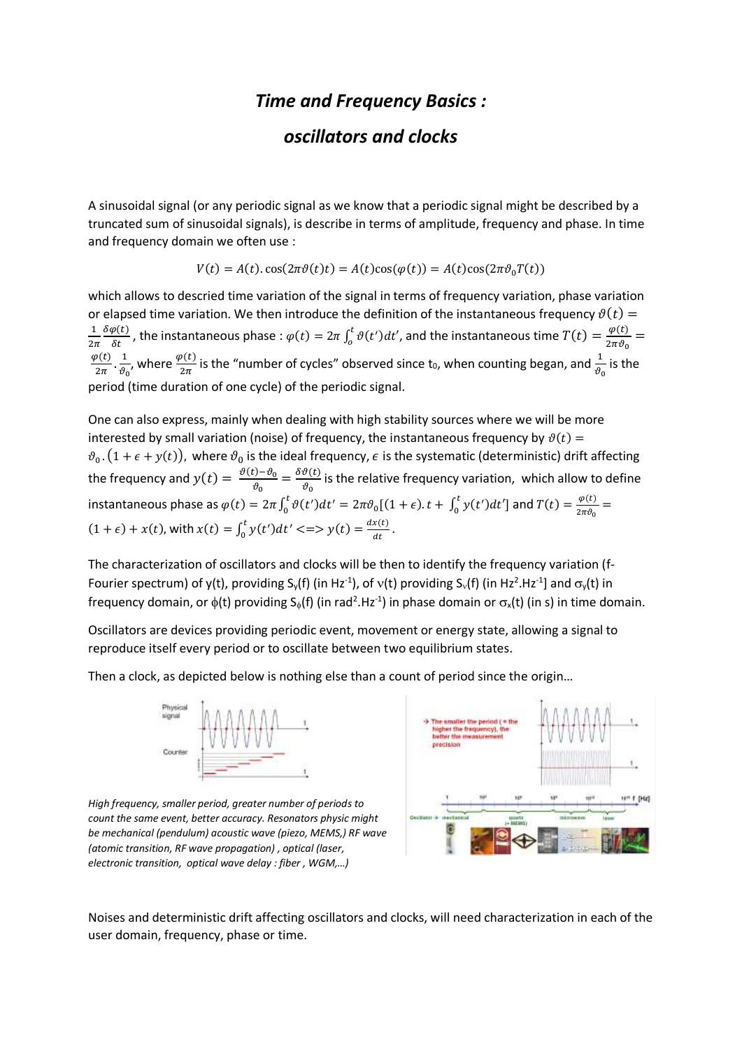## *Time and Frequency Basics :*

## *oscillators and clocks*

A sinusoidal signal (or any periodic signal as we know that a periodic signal might be described by a truncated sum of sinusoidal signals), is describe in terms of amplitude, frequency and phase. In time and frequency domain we often use :

$$
V(t) = A(t)\cos(2\pi\vartheta(t)t) = A(t)\cos(\varphi(t)) = A(t)\cos(2\pi\vartheta_0 T(t))
$$

which allows to descried time variation of the signal in terms of frequency variation, phase variation or elapsed time variation. We then introduce the definition of the instantaneous frequency  $\vartheta(t)$  = 1  $2\pi$  $\frac{\delta \varphi(t)}{\delta t}$ , the instantaneous phase :  $\varphi(t) = 2\pi \int_0^t \vartheta(t') dt'$  $\int_{0}^{t} \vartheta(t')dt'$ , and the instantaneous time  $T(t) = \frac{\varphi(t)}{2\pi \vartheta_0}$  $\frac{\varphi(\iota)}{2\pi\vartheta_0} =$  $\varphi(t)$  $\frac{\partial(t)}{2\pi} \cdot \frac{1}{\vartheta_0}$  $\frac{1}{\vartheta_0}$ , where  $\frac{\varphi(t)}{2\pi}$  is the "number of cycles" observed since t<sub>0</sub>, when counting began, and  $\frac{1}{\vartheta_0}$  is the period (time duration of one cycle) of the periodic signal.

One can also express, mainly when dealing with high stability sources where we will be more interested by small variation (noise) of frequency, the instantaneous frequency by  $\vartheta(t)$  =  $\vartheta_0$  .  $(1+\epsilon+y(t))$ , where  $\vartheta_0$  is the ideal frequency,  $\epsilon$  is the systematic (deterministic) drift affecting the frequency and  $y(t) = \frac{\vartheta(t) - \vartheta_0}{a}$  $\frac{(\mathbf{c}) - \vartheta_0}{\vartheta_0} = \frac{\delta \vartheta(t)}{\vartheta_0}$  $\frac{\partial(u)}{\partial \theta_0}$  is the relative frequency variation, which allow to define instantaneous phase as  $\varphi(t) = 2\pi \int_0^t \vartheta(t')dt' = 2\pi \vartheta_0 [(1+\epsilon).t + \int_0^t y(t')dt']$ 0  $\bar{t}$  $\int_0^t \vartheta(t')dt'=2\pi \vartheta_0[(1+\epsilon).t+\int_0^t y(t')dt']$  and  $T(t)=\frac{\varphi(t)}{2\pi \vartheta_0}$  $\frac{\varphi(\iota)}{2\pi\vartheta_0} =$  $(1 + \epsilon) + x(t)$ , with  $x(t) = \int_0^t y(t')dt' \leq 0$   $y(t) = \frac{dx(t)}{dt}$  $dt$ t  $\int_0^t y(t')dt' \leq y(t) = \frac{ax(t)}{dt}$ .

The characterization of oscillators and clocks will be then to identify the frequency variation (f-Fourier spectrum) of y(t), providing S<sub>y</sub>(f) (in Hz<sup>-1</sup>), of v(t) providing S<sub>v</sub>(f) (in Hz<sup>2</sup>.Hz<sup>-1</sup>] and  $\sigma_y(t)$  in frequency domain, or  $\phi$ (t) providing S<sub> $\phi$ </sub>(f) (in rad<sup>2</sup>.Hz<sup>-1</sup>) in phase domain or  $\sigma_x$ (t) (in s) in time domain.

Oscillators are devices providing periodic event, movement or energy state, allowing a signal to reproduce itself every period or to oscillate between two equilibrium states.

Then a clock, as depicted below is nothing else than a count of period since the origin…



*High frequency, smaller period, greater number of periods to count the same event, better accuracy. Resonators physic might be mechanical (pendulum) acoustic wave (piezo, MEMS,) RF wave (atomic transition, RF wave propagation) , optical (laser, electronic transition, optical wave delay : fiber , WGM,…)*



Noises and deterministic drift affecting oscillators and clocks, will need characterization in each of the user domain, frequency, phase or time.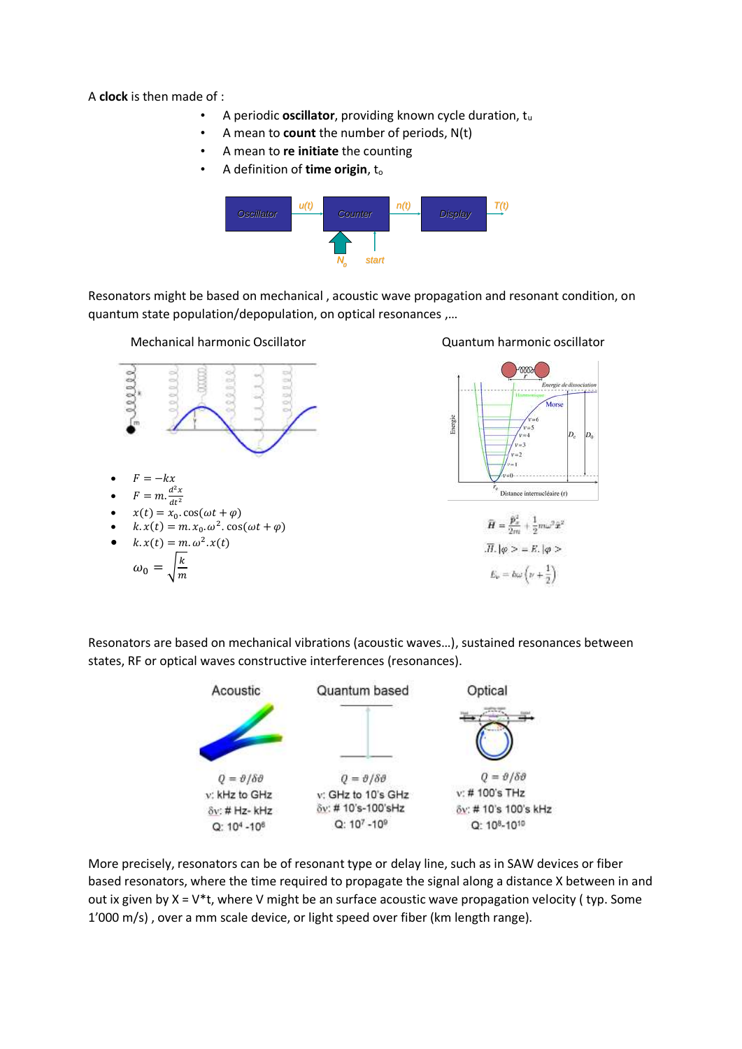A **clock** is then made of :

- A periodic **oscillator**, providing known cycle duration, tu
- A mean to **count** the number of periods, N(t)
- A mean to **re initiate** the counting
- A definition of **time origin**, t<sub>o</sub>



Resonators might be based on mechanical , acoustic wave propagation and resonant condition, on quantum state population/depopulation, on optical resonances ,…



 $\boldsymbol{m}$ 

## Quantum harmonic oscillator



Resonators are based on mechanical vibrations (acoustic waves…), sustained resonances between states, RF or optical waves constructive interferences (resonances).



More precisely, resonators can be of resonant type or delay line, such as in SAW devices or fiber based resonators, where the time required to propagate the signal along a distance X between in and out ix given by  $X = V^*t$ , where V might be an surface acoustic wave propagation velocity (typ. Some 1'000 m/s) , over a mm scale device, or light speed over fiber (km length range).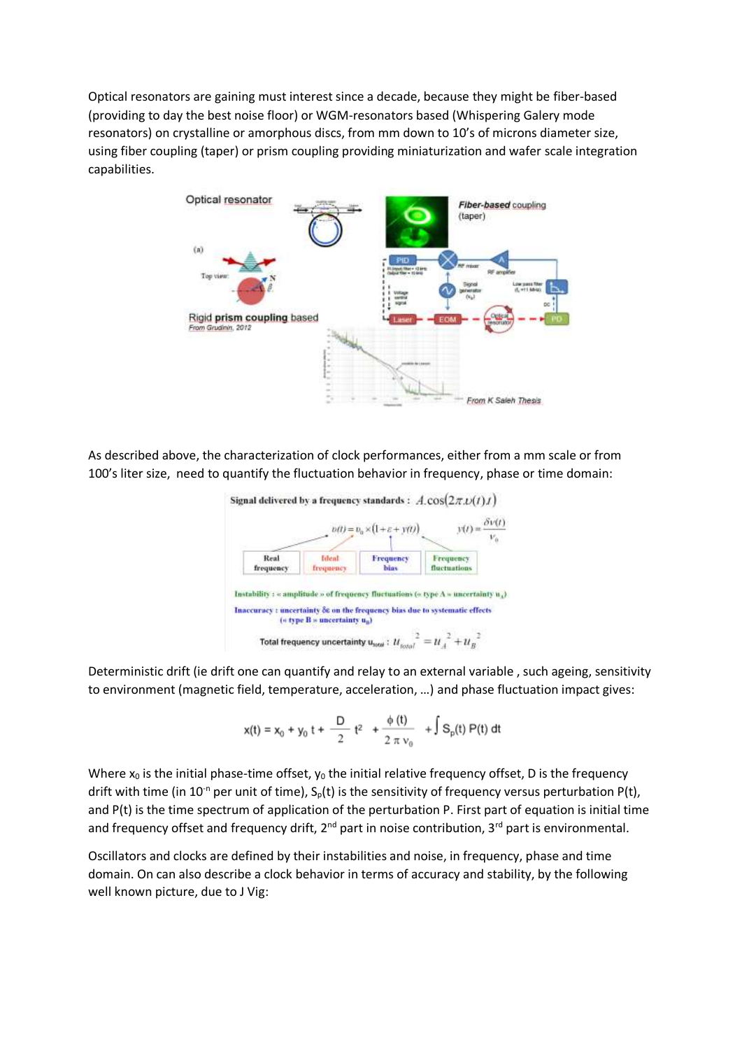Optical resonators are gaining must interest since a decade, because they might be fiber-based (providing to day the best noise floor) or WGM-resonators based (Whispering Galery mode resonators) on crystalline or amorphous discs, from mm down to 10's of microns diameter size, using fiber coupling (taper) or prism coupling providing miniaturization and wafer scale integration capabilities.



As described above, the characterization of clock performances, either from a mm scale or from 100's liter size, need to quantify the fluctuation behavior in frequency, phase or time domain:



Deterministic drift (ie drift one can quantify and relay to an external variable , such ageing, sensitivity to environment (magnetic field, temperature, acceleration, …) and phase fluctuation impact gives:

$$
x(t) = x_0 + y_0 t + \frac{D}{2} t^2 + \frac{\phi(t)}{2 \pi v_0} + \int S_p(t) P(t) dt
$$

Where  $x_0$  is the initial phase-time offset,  $y_0$  the initial relative frequency offset, D is the frequency drift with time (in 10<sup>-n</sup> per unit of time),  $S_0(t)$  is the sensitivity of frequency versus perturbation P(t), and P(t) is the time spectrum of application of the perturbation P. First part of equation is initial time and frequency offset and frequency drift, 2<sup>nd</sup> part in noise contribution, 3<sup>rd</sup> part is environmental.

Oscillators and clocks are defined by their instabilities and noise, in frequency, phase and time domain. On can also describe a clock behavior in terms of accuracy and stability, by the following well known picture, due to J Vig: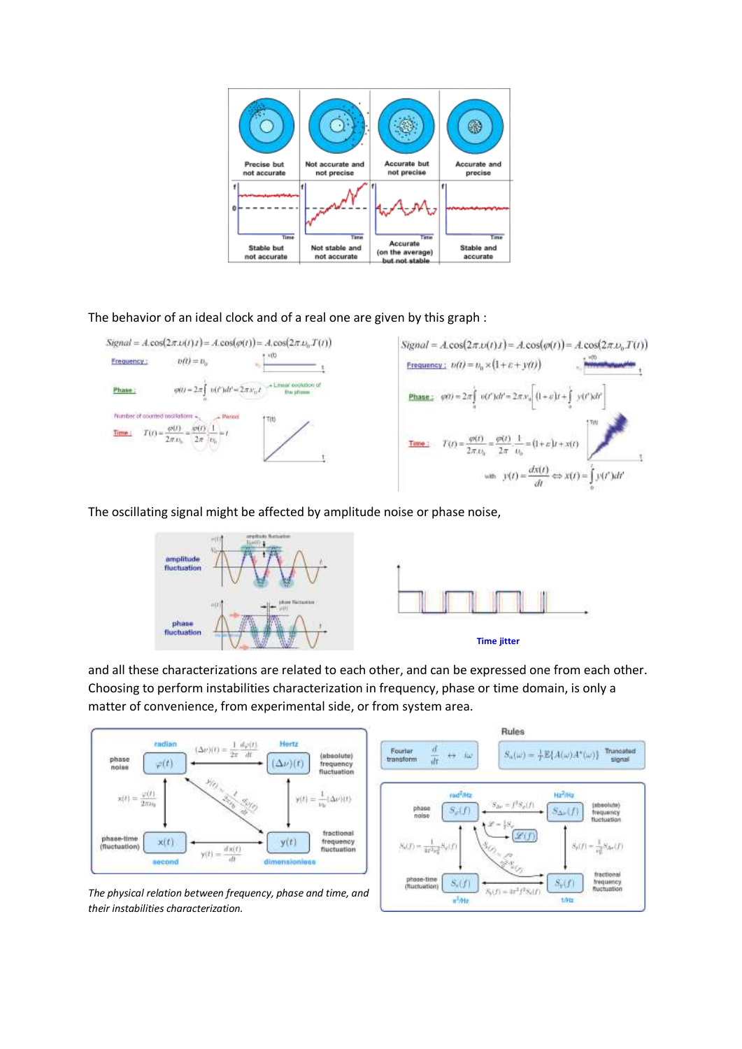

## The behavior of an ideal clock and of a real one are given by this graph :



The oscillating signal might be affected by amplitude noise or phase noise,



and all these characterizations are related to each other, and can be expressed one from each other. Choosing to perform instabilities characterization in frequency, phase or time domain, is only a matter of convenience, from experimental side, or from system area.

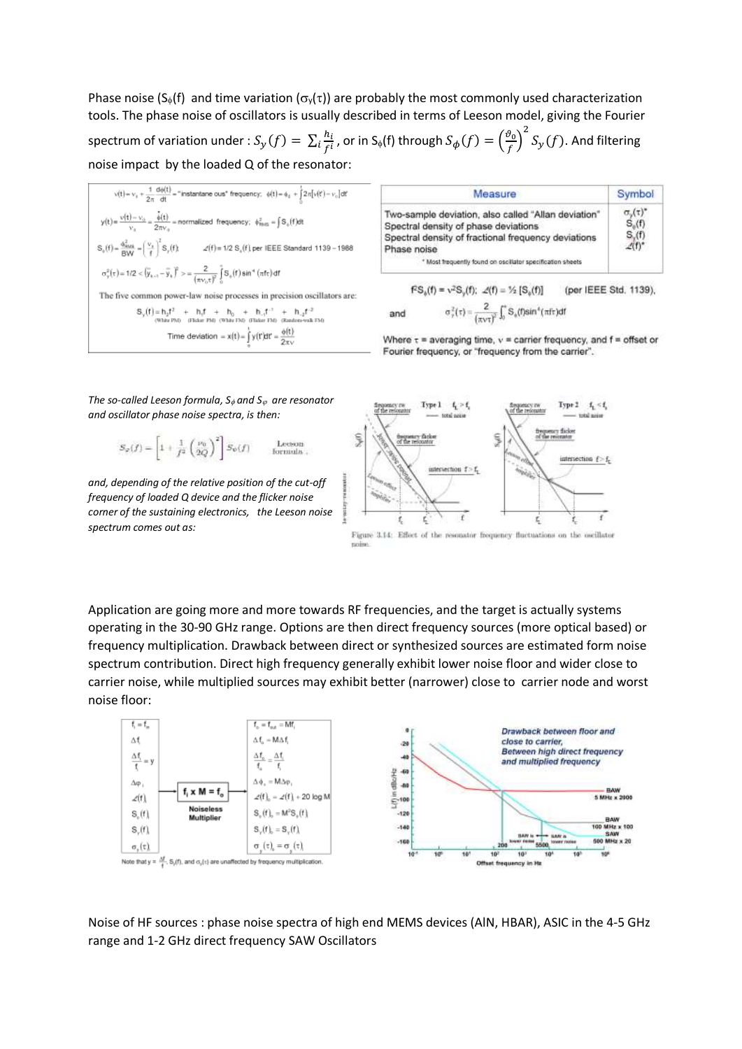Phase noise (S<sub>®</sub>(f) and time variation ( $\sigma_v(\tau)$ ) are probably the most commonly used characterization tools. The phase noise of oscillators is usually described in terms of Leeson model, giving the Fourier spectrum of variation under :  $S_y(f) = \sum_i \frac{h_i}{f}$  $\frac{1}{\sigma}\frac{h_{l}}{f^{i}}$  , or in S<sub>φ</sub>(f) through  $S_{\boldsymbol{\phi}}(f)=\Big(\frac{\vartheta_{0}}{f}$  $\left(\frac{\partial_0}{f}\right)^2$   $S_y(f)$ . And filtering noise impact by the loaded Q of the resonator:

 $v(t) = v_0 + \frac{1}{2\pi} \frac{d\phi(t)}{dt} = \text{``instantance cuts'' frequency: } \phi(t) = \phi_0 + \frac{1}{2} 2\pi [v(t) - v_0] dt$  $y(t) = \frac{v(t) - v_0}{v_0} = \frac{\hat{\phi}(t)}{2\pi v_0} =$  normalized frequency;  $\phi_{\text{RMS}}^2 = \int S_+(f)dt$  $S_0(f) = \frac{\phi_{\text{SMB}}^2}{\phi_{\text{NMB}}} = \left(\frac{V_0}{f}\right)^2 S_f(f)$  $\mathcal{L}(f)$  = 1/2  $\mathbf{S}_{q}(f)$  per IEEE Standard 1139 - 1988  $\sigma_y^2(\tau) = 1/2 < \left(\overline{y}_{k+1} - \overline{y}_k\right)^2 > = \frac{2}{(\pi v_0 \tau)^2} \int_0^{\pi} S_{\phi}(f) \sin^4(\pi f \tau) d f$ The five common power-law noise processes in precision oscillators are:  $S_v(f) = h_2 f^2$  +  $h_i f$  +  $h_0$  +  $h_{-i} f^{-1}$  +  $h_{-2} f^{-2}$ to PM) (Flicker PM) (White FM) (Flicker FM) (Rand Time deviation =  $x(t) = \int_0^t y(t')dt' = \frac{\phi(t)}{2\pi\omega}$ 

| Measure                                                                                                                                                           | Symbol                   |
|-------------------------------------------------------------------------------------------------------------------------------------------------------------------|--------------------------|
| Two-sample deviation, also called "Allan deviation"<br>Spectral density of phase deviations<br>Spectral density of fractional frequency deviations<br>Phase noise | $\sigma_{\nu}(\tau)^{*}$ |
| * Most frequently found on oscillator specification sheets                                                                                                        |                          |

 $f^2S_n(f) = v^2S_n(f);$   $\mathcal{L}(f) = \frac{1}{2} [S_n(f)]$ (per IEEE Std. 1139),  $\sigma^2_t(\tau) = \frac{2}{(\pi \nu \tau)^2} \int_0^{\tau} S_s(t) \sin^4(\pi \tau) dt$ and

Where  $\tau$  = averaging time,  $v$  = carrier frequency, and  $f$  = offset or Fourier frequency, or "frequency from the carrier".

*The so-called Leeson formula, S*<sub> $\phi$ </sub> and S<sub> $\phi$ </sub> are resonator *and oscillator phase noise spectra, is then:*

$$
S_{\varphi}(f) = \left[1 + \frac{1}{f^2} \left(\frac{\nu_0}{2Q}\right)^2\right] S_{\psi}(f) \quad \text{Let} \text{son} \atop \text{formula}.
$$

*and, depending of the relative position of the cut-off frequency of loaded Q device and the flicker noise corner of the sustaining electronics, the Leeson noise spectrum comes out as:* 



Figure 3.14: Effect of the resonator frequency fluctuations on the oscillator

Application are going more and more towards RF frequencies, and the target is actually systems operating in the 30-90 GHz range. Options are then direct frequency sources (more optical based) or frequency multiplication. Drawback between direct or synthesized sources are estimated form noise spectrum contribution. Direct high frequency generally exhibit lower noise floor and wider close to carrier noise, while multiplied sources may exhibit better (narrower) close to carrier node and worst noise floor:



Noise of HF sources : phase noise spectra of high end MEMS devices (AlN, HBAR), ASIC in the 4-5 GHz range and 1-2 GHz direct frequency SAW Oscillators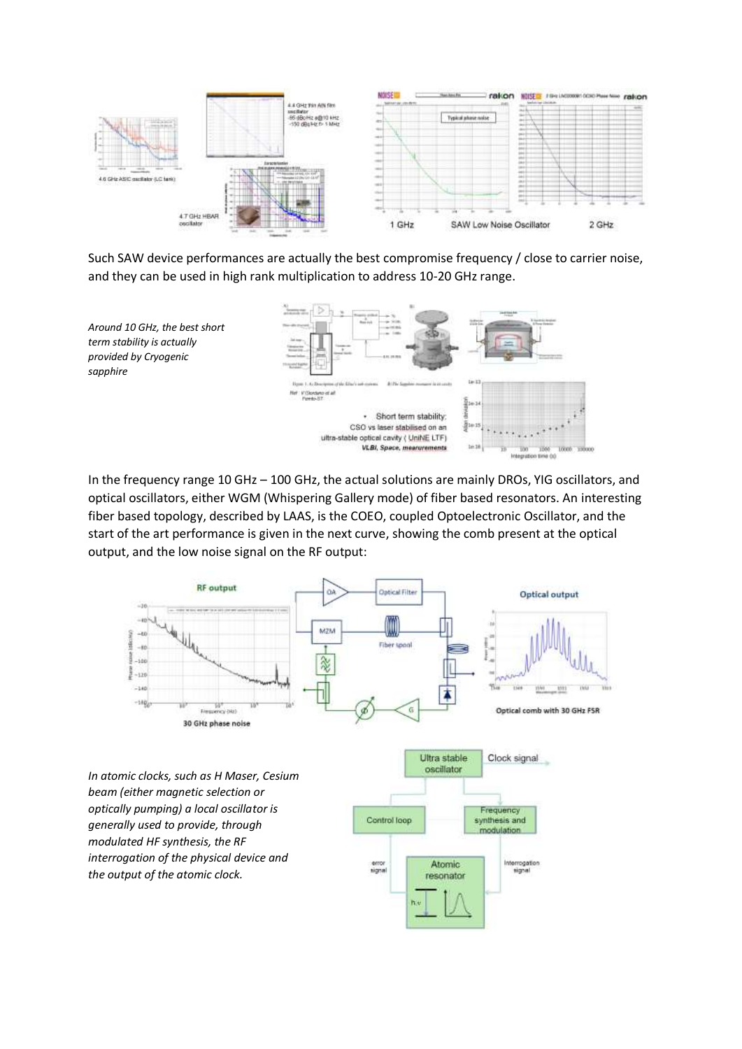

Such SAW device performances are actually the best compromise frequency / close to carrier noise, and they can be used in high rank multiplication to address 10-20 GHz range.



In the frequency range 10 GHz – 100 GHz, the actual solutions are mainly DROs, YIG oscillators, and optical oscillators, either WGM (Whispering Gallery mode) of fiber based resonators. An interesting fiber based topology, described by LAAS, is the COEO, coupled Optoelectronic Oscillator, and the start of the art performance is given in the next curve, showing the comb present at the optical output, and the low noise signal on the RF output:

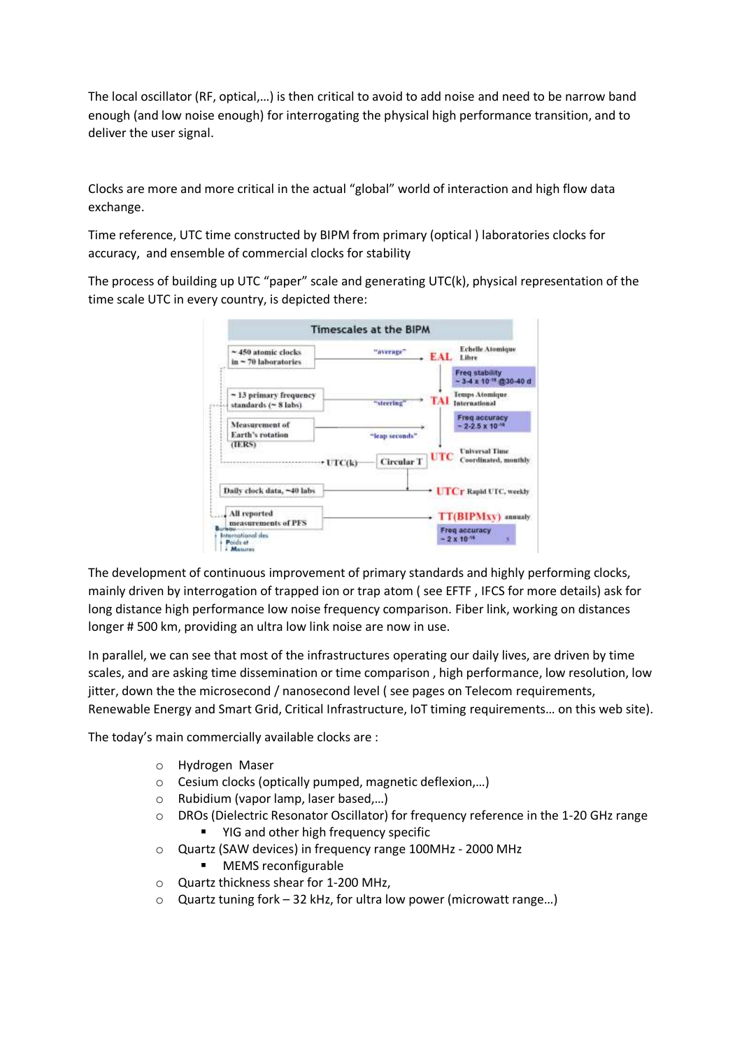The local oscillator (RF, optical,…) is then critical to avoid to add noise and need to be narrow band enough (and low noise enough) for interrogating the physical high performance transition, and to deliver the user signal.

Clocks are more and more critical in the actual "global" world of interaction and high flow data exchange.

Time reference, UTC time constructed by BIPM from primary (optical ) laboratories clocks for accuracy, and ensemble of commercial clocks for stability

The process of building up UTC "paper" scale and generating UTC(k), physical representation of the time scale UTC in every country, is depicted there:

| ~450 atomic clocks.<br>$in - 70$ laboratories          | Echelle Atomique<br>"average"<br>EAL<br>Libre                             |
|--------------------------------------------------------|---------------------------------------------------------------------------|
|                                                        | <b>Freq stability</b><br>$-3.4 \times 10^{-18}$ @30-40 d                  |
| ~13 primary frequency<br>standards (~ 8 labs)          | Temps Atomique.<br>International<br>"steering"                            |
| Measurement of<br>Earth's rotation                     | Freq accuracy<br>$-2.2.5 \times 10^{-4}$<br>"leap seconds".               |
| (ERS)<br>$+1TCR$                                       | <b>Universal Time</b><br>UTC<br>Coordinated, monthly<br><b>Circular T</b> |
| Daily clock data, ~40 labs                             | <b>UTCr Rapid UTC, weekly</b>                                             |
| All reported<br>measurements of PFS                    | - TT(BIPMXV) manaly                                                       |
| <b>Lumbago</b><br><b>International des</b><br>Poids at | Freq accuracy<br>$-2 \times 10^{-18}$                                     |

The development of continuous improvement of primary standards and highly performing clocks, mainly driven by interrogation of trapped ion or trap atom ( see EFTF , IFCS for more details) ask for long distance high performance low noise frequency comparison. Fiber link, working on distances longer # 500 km, providing an ultra low link noise are now in use.

In parallel, we can see that most of the infrastructures operating our daily lives, are driven by time scales, and are asking time dissemination or time comparison , high performance, low resolution, low jitter, down the the microsecond / nanosecond level ( see pages on Telecom requirements, Renewable Energy and Smart Grid, Critical Infrastructure, IoT timing requirements… on this web site).

The today's main commercially available clocks are :

- o Hydrogen Maser
- o Cesium clocks (optically pumped, magnetic deflexion,…)
- o Rubidium (vapor lamp, laser based,…)
- o DROs (Dielectric Resonator Oscillator) for frequency reference in the 1-20 GHz range ■ YIG and other high frequency specific
- o Quartz (SAW devices) in frequency range 100MHz 2000 MHz
	- MEMS reconfigurable
- o Quartz thickness shear for 1-200 MHz,
- o Quartz tuning fork 32 kHz, for ultra low power (microwatt range…)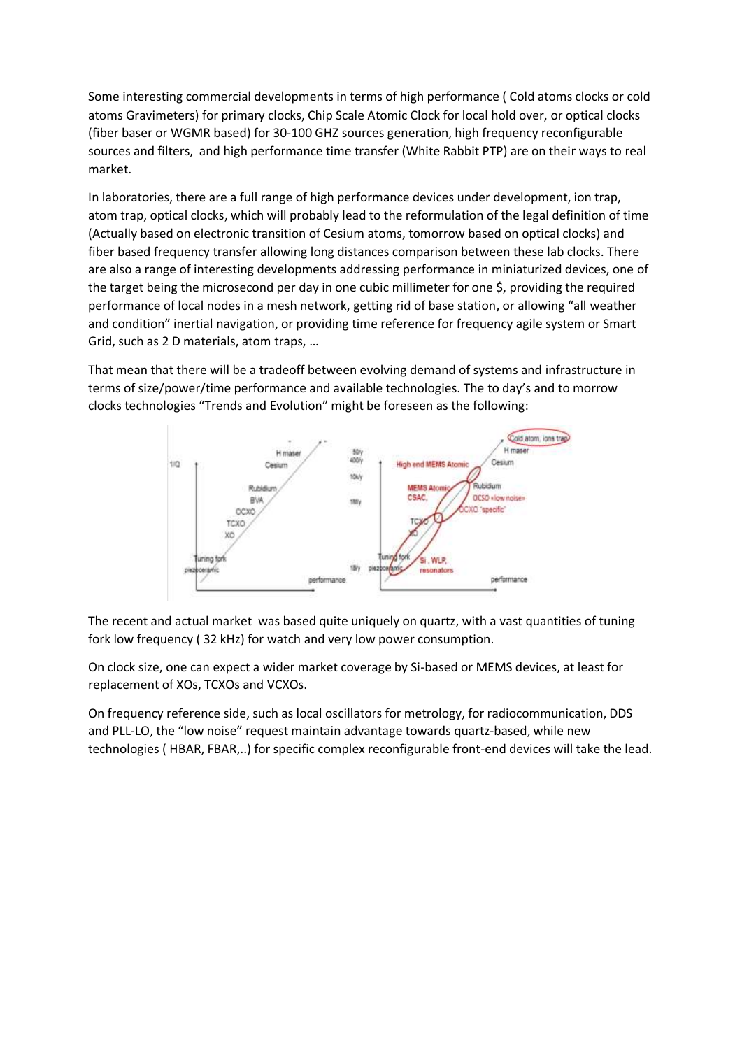Some interesting commercial developments in terms of high performance ( Cold atoms clocks or cold atoms Gravimeters) for primary clocks, Chip Scale Atomic Clock for local hold over, or optical clocks (fiber baser or WGMR based) for 30-100 GHZ sources generation, high frequency reconfigurable sources and filters, and high performance time transfer (White Rabbit PTP) are on their ways to real market.

In laboratories, there are a full range of high performance devices under development, ion trap, atom trap, optical clocks, which will probably lead to the reformulation of the legal definition of time (Actually based on electronic transition of Cesium atoms, tomorrow based on optical clocks) and fiber based frequency transfer allowing long distances comparison between these lab clocks. There are also a range of interesting developments addressing performance in miniaturized devices, one of the target being the microsecond per day in one cubic millimeter for one \$, providing the required performance of local nodes in a mesh network, getting rid of base station, or allowing "all weather and condition" inertial navigation, or providing time reference for frequency agile system or Smart Grid, such as 2 D materials, atom traps, …

That mean that there will be a tradeoff between evolving demand of systems and infrastructure in terms of size/power/time performance and available technologies. The to day's and to morrow clocks technologies "Trends and Evolution" might be foreseen as the following:



The recent and actual market was based quite uniquely on quartz, with a vast quantities of tuning fork low frequency ( 32 kHz) for watch and very low power consumption.

On clock size, one can expect a wider market coverage by Si-based or MEMS devices, at least for replacement of XOs, TCXOs and VCXOs.

On frequency reference side, such as local oscillators for metrology, for radiocommunication, DDS and PLL-LO, the "low noise" request maintain advantage towards quartz-based, while new technologies ( HBAR, FBAR,..) for specific complex reconfigurable front-end devices will take the lead.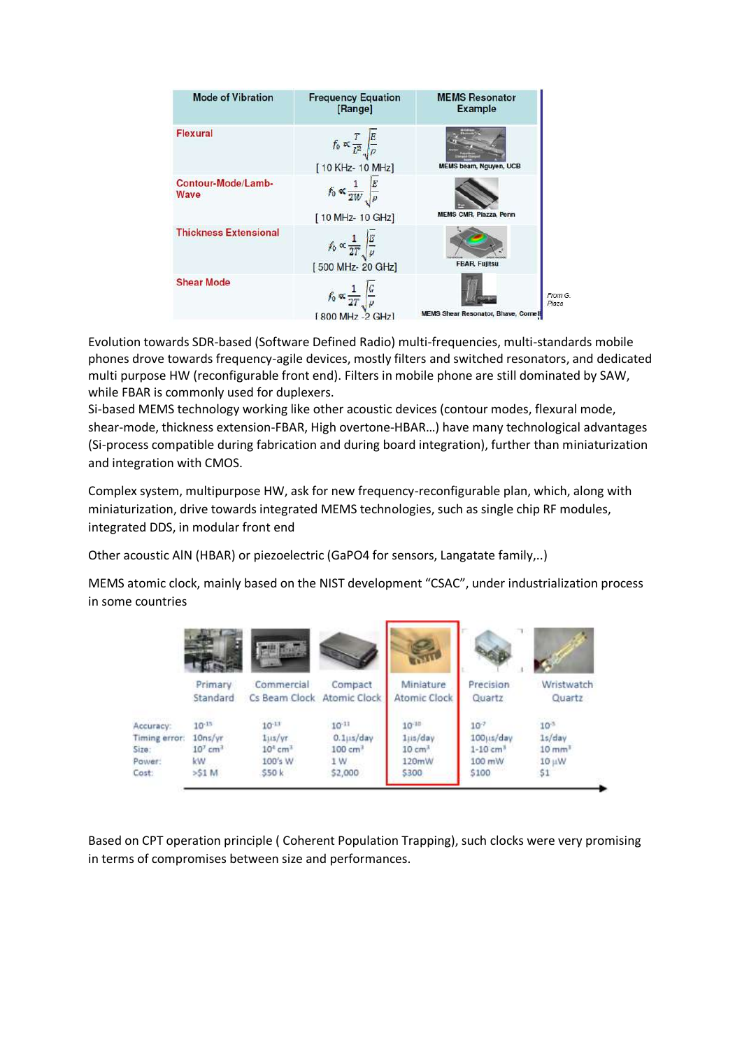| <b>Mode of Vibration</b>     | <b>Frequency Equation</b><br>[Range]                                         | <b>MEMS Resonator</b><br><b>Example</b>                         |
|------------------------------|------------------------------------------------------------------------------|-----------------------------------------------------------------|
| Flexural                     | $f_0 \propto \frac{T}{L^2} \sqrt{\frac{E}{\rho}}$<br>[10 KHz-10 MHz]         | MEMS beam, Nguyen, UCB                                          |
| Contour-Mode/Lamb-<br>Wave   | $f_0 \propto \frac{1}{2W} \int_{\rho}^{E}$<br>[10 MHz-10 GHz]                | MEMS CMR, Piazza, Penn                                          |
| <b>Thickness Extensional</b> | $f_0 \propto \frac{1}{2T}\sqrt{\frac{E}{\mu}}$<br>[500 MHz-20 GHz]           | <b>FBAR, Fujitsu</b>                                            |
| <b>Shear Mode</b>            | $f_0 \propto \frac{1}{2T} \left  \frac{G}{\rho} \right $<br>[800 MHz -2 GHz] | From G.<br>Piaza<br><b>MEMS Shear Resonator, Bhave, Cornell</b> |

Evolution towards SDR-based (Software Defined Radio) multi-frequencies, multi-standards mobile phones drove towards frequency-agile devices, mostly filters and switched resonators, and dedicated multi purpose HW (reconfigurable front end). Filters in mobile phone are still dominated by SAW, while FBAR is commonly used for duplexers.

Si-based MEMS technology working like other acoustic devices (contour modes, flexural mode, shear-mode, thickness extension-FBAR, High overtone-HBAR…) have many technological advantages (Si-process compatible during fabrication and during board integration), further than miniaturization and integration with CMOS.

Complex system, multipurpose HW, ask for new frequency-reconfigurable plan, which, along with miniaturization, drive towards integrated MEMS technologies, such as single chip RF modules, integrated DDS, in modular front end

Other acoustic AlN (HBAR) or piezoelectric (GaPO4 for sensors, Langatate family,..)

MEMS atomic clock, mainly based on the NIST development "CSAC", under industrialization process in some countries

|                                                        | THE EXTERN                                                       |                                                                    |                                                                      |                                                                |                                                                       |                                                                     |
|--------------------------------------------------------|------------------------------------------------------------------|--------------------------------------------------------------------|----------------------------------------------------------------------|----------------------------------------------------------------|-----------------------------------------------------------------------|---------------------------------------------------------------------|
|                                                        | Primary<br>Standard                                              | Commercial<br>Cs Beam Clock Atomic Clock                           | Compact                                                              | Miniature<br>Atomic Clock                                      | <b>Precision</b><br>Quartz                                            | Wristwatch<br>Quartz                                                |
| Accuracy:<br>Timing error:<br>Size:<br>Power:<br>Cost: | $10^{-13}$<br>10ns/yr<br>$107$ cm <sup>3</sup><br>kW.<br>$>51$ M | $10^{-11}$<br>1115/yr<br>$104$ cm <sup>3</sup><br>100's W<br>\$50k | $10^{-11}$<br>$0.1$ jis/day<br>100 cm <sup>3</sup><br>1 W<br>\$2,000 | $10^{-10}$<br>1jis/day<br>10 cm <sup>3</sup><br>120mW<br>\$300 | $10^{-7}$<br>100us/day<br>$1 - 10$ cm <sup>3</sup><br>100 mW<br>\$100 | $10^{-3}$<br>1s/day<br>$10 \text{ mm}$ <sup>3</sup><br>10 µW<br>\$1 |

Based on CPT operation principle ( Coherent Population Trapping), such clocks were very promising in terms of compromises between size and performances.